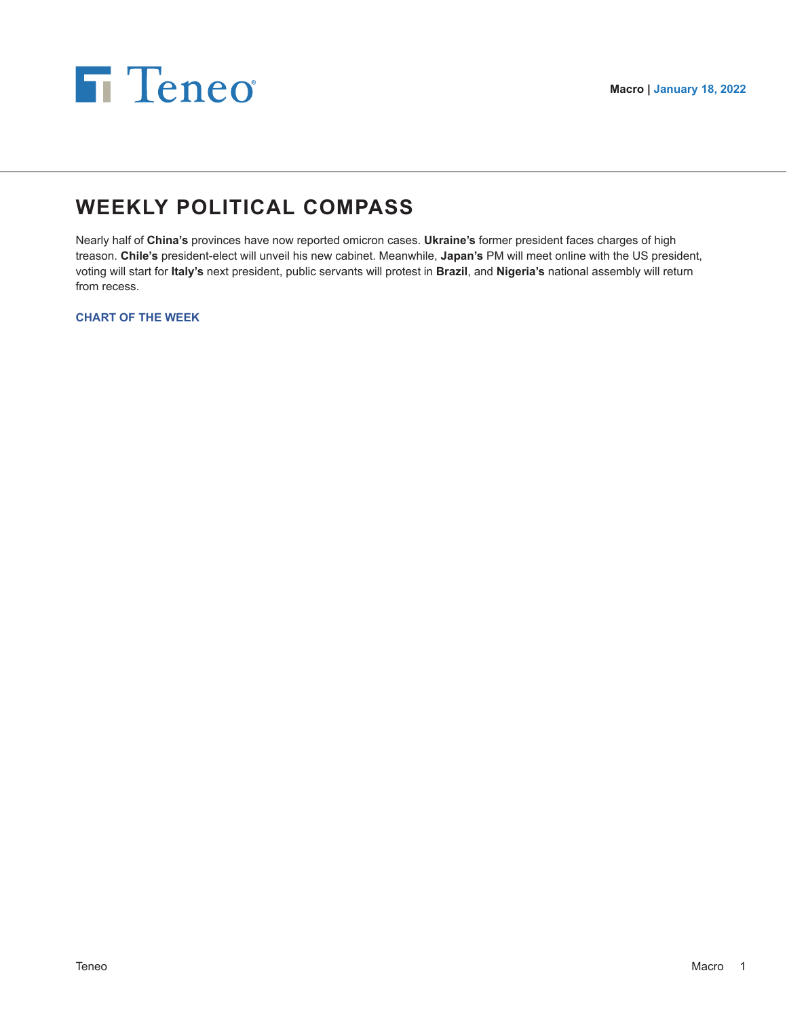

# **WEEKLY POLITICAL COMPASS**

Nearly half of **China's** provinces have now reported omicron cases. **Ukraine's** former president faces charges of high treason. **Chile's** president-elect will unveil his new cabinet. Meanwhile, **Japan's** PM will meet online with the US president, voting will start for **Italy's** next president, public servants will protest in **Brazil**, and **Nigeria's** national assembly will return from recess.

**CHART OF THE WEEK**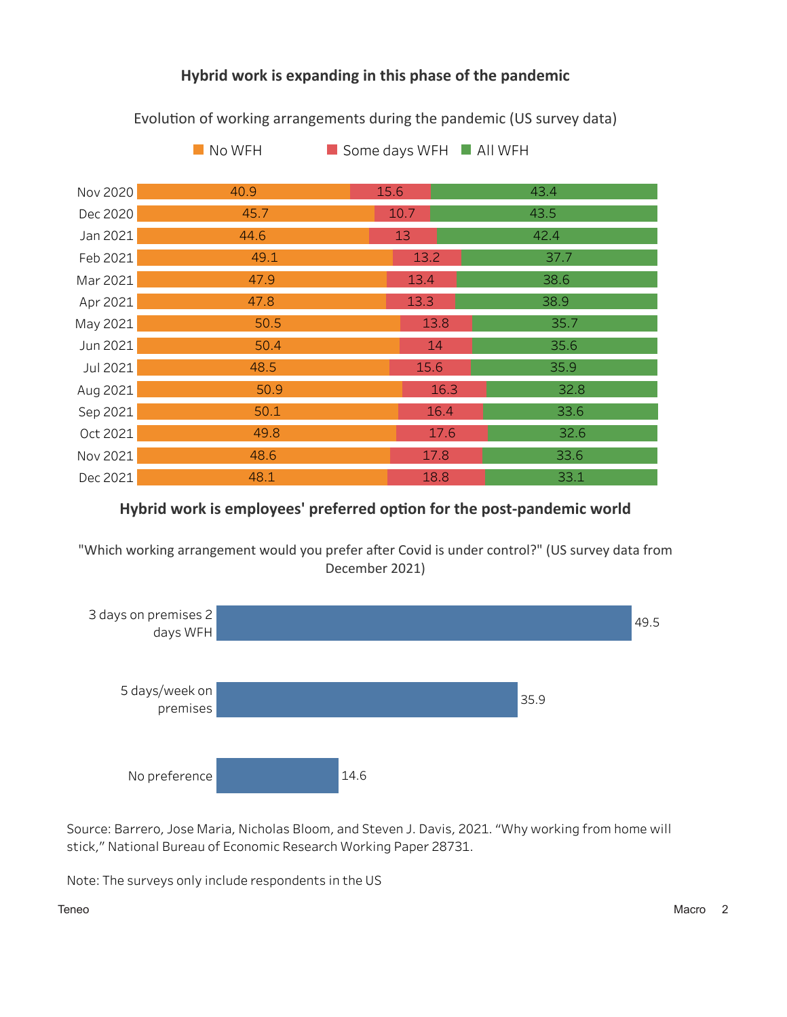# Hybrid work is expanding in this phase of the pandemic

 $\blacksquare$  No WFH Some days WFH All WFH Nov 2020 40.9 15.6 43.4 Dec 2020 45.7 10.7 43.5 Jan 2021 44.6 13 42.4 Feb 2021 49.1  $13.2$ 37.7 Mar 2021 47.9 13.4 38.6 Apr 2021 47.8 13.3 38.9 May 2021  $50.5$ 13.8 35.7 Jun 2021  $50.4$ 14 35.6 Jul 2021 48.5 15.6 35.9 Aug 2021 50.9 16.3 32.8  $50.1$ 16.4 Sep 2021 33.6 49.8 17.6 32.6 Oct 2021 17.8 Nov 2021 48.6 33.6 Dec 2021 48.1 18.8 33.1

Evolution of working arrangements during the pandemic (US survey data)

# Hybrid work is employees' preferred option for the post-pandemic world

"Which working arrangement would you prefer after Covid is under control?" (US survey data from December 2021)



Source: Barrero, Jose Maria, Nicholas Bloom, and Steven J. Davis, 2021. "Why working from home will stick," National Bureau of Economic Research Working Paper 28731.

Note: The surveys only include respondents in the US

Teneo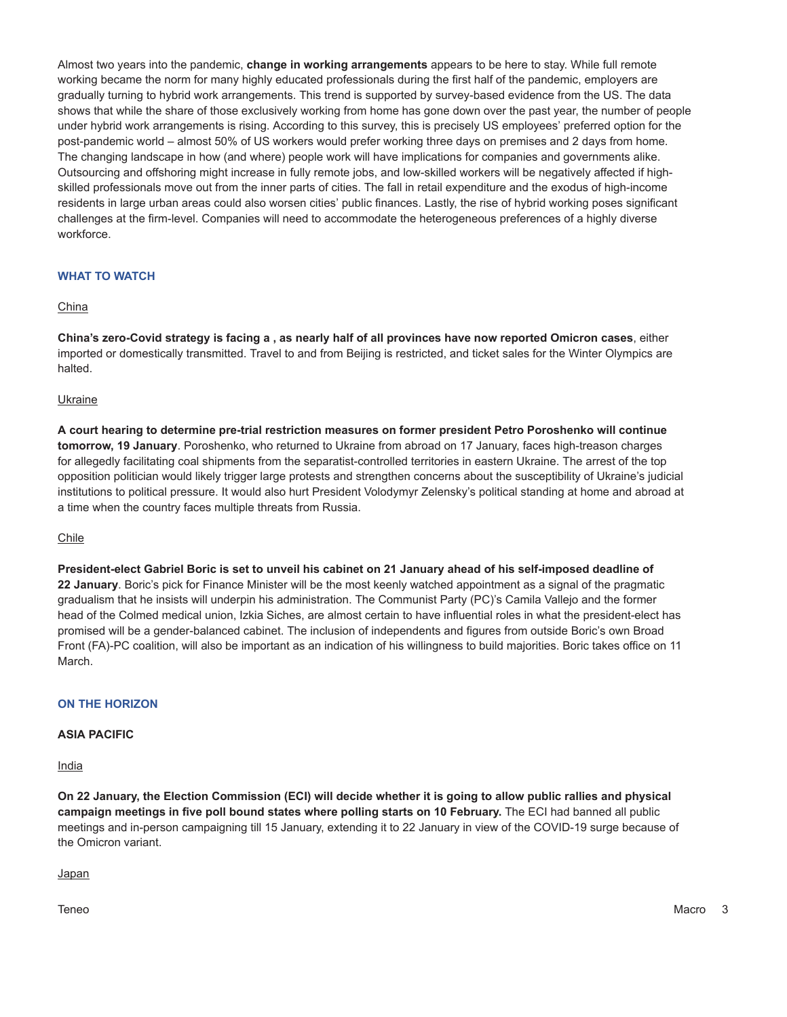Almost two years into the pandemic, **change in working arrangements** appears to be here to stay. While full remote working became the norm for many highly educated professionals during the first half of the pandemic, employers are gradually turning to hybrid work arrangements. This trend is supported by survey-based evidence from the US. The data shows that while the share of those exclusively working from home has gone down over the past year, the number of people under hybrid work arrangements is rising. According to this survey, this is precisely US employees' preferred option for the post-pandemic world – almost 50% of US workers would prefer working three days on premises and 2 days from home. The changing landscape in how (and where) people work will have implications for companies and governments alike. Outsourcing and offshoring might increase in fully remote jobs, and low-skilled workers will be negatively affected if highskilled professionals move out from the inner parts of cities. The fall in retail expenditure and the exodus of high-income residents in large urban areas could also worsen cities' public finances. Lastly, the rise of hybrid working poses significant challenges at the firm-level. Companies will need to accommodate the heterogeneous preferences of a highly diverse workforce.

# **WHAT TO WATCH**

### China

**China's zero-Covid strategy is facing a , as nearly half of all provinces have now reported Omicron cases**, either imported or domestically transmitted. Travel to and from Beijing is restricted, and ticket sales for the Winter Olympics are halted.

### Ukraine

**A court hearing to determine pre-trial restriction measures on former president Petro Poroshenko will continue tomorrow, 19 January**. Poroshenko, who returned to Ukraine from abroad on 17 January, faces high-treason charges for allegedly facilitating coal shipments from the separatist-controlled territories in eastern Ukraine. The arrest of the top opposition politician would likely trigger large protests and strengthen concerns about the susceptibility of Ukraine's judicial institutions to political pressure. It would also hurt President Volodymyr Zelensky's political standing at home and abroad at a time when the country faces multiple threats from Russia.

#### Chile

**President-elect Gabriel Boric is set to unveil his cabinet on 21 January ahead of his self-imposed deadline of 22 January**. Boric's pick for Finance Minister will be the most keenly watched appointment as a signal of the pragmatic gradualism that he insists will underpin his administration. The Communist Party (PC)'s Camila Vallejo and the former head of the Colmed medical union, Izkia Siches, are almost certain to have influential roles in what the president-elect has promised will be a gender-balanced cabinet. The inclusion of independents and figures from outside Boric's own Broad Front (FA)-PC coalition, will also be important as an indication of his willingness to build majorities. Boric takes office on 11 March.

# **ON THE HORIZON**

#### **ASIA PACIFIC**

India

**On 22 January, the Election Commission (ECI) will decide whether it is going to allow public rallies and physical campaign meetings in five poll bound states where polling starts on 10 February.** The ECI had banned all public meetings and in-person campaigning till 15 January, extending it to 22 January in view of the COVID-19 surge because of the Omicron variant.

Japan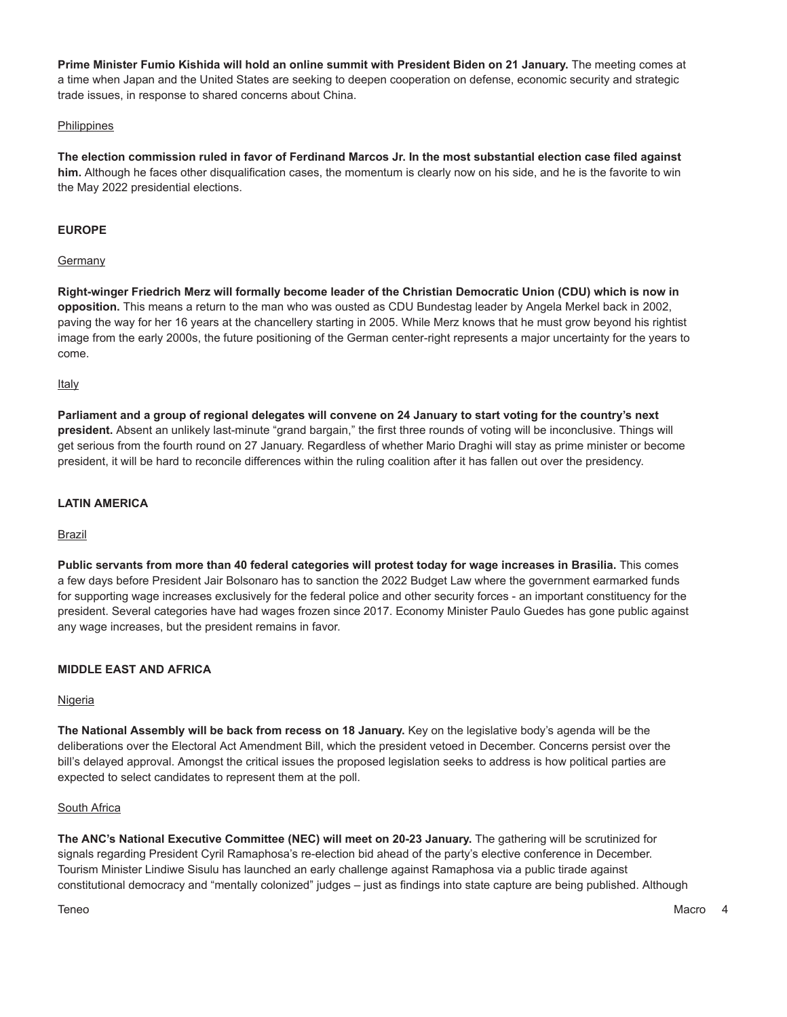**Prime Minister Fumio Kishida will hold an online summit with President Biden on 21 January.** The meeting comes at a time when Japan and the United States are seeking to deepen cooperation on defense, economic security and strategic trade issues, in response to shared concerns about China.

## Philippines

**The election commission ruled in favor of Ferdinand Marcos Jr. In the most substantial election case filed against him.** Although he faces other disqualification cases, the momentum is clearly now on his side, and he is the favorite to win the May 2022 presidential elections.

# **EUROPE**

### **Germany**

**Right-winger Friedrich Merz will formally become leader of the Christian Democratic Union (CDU) which is now in opposition.** This means a return to the man who was ousted as CDU Bundestag leader by Angela Merkel back in 2002, paving the way for her 16 years at the chancellery starting in 2005. While Merz knows that he must grow beyond his rightist image from the early 2000s, the future positioning of the German center-right represents a major uncertainty for the years to come.

Italy

**Parliament and a group of regional delegates will convene on 24 January to start voting for the country's next president.** Absent an unlikely last-minute "grand bargain," the first three rounds of voting will be inconclusive. Things will get serious from the fourth round on 27 January. Regardless of whether Mario Draghi will stay as prime minister or become president, it will be hard to reconcile differences within the ruling coalition after it has fallen out over the presidency.

## **LATIN AMERICA**

Brazil

**Public servants from more than 40 federal categories will protest today for wage increases in Brasilia.** This comes a few days before President Jair Bolsonaro has to sanction the 2022 Budget Law where the government earmarked funds for supporting wage increases exclusively for the federal police and other security forces - an important constituency for the president. Several categories have had wages frozen since 2017. Economy Minister Paulo Guedes has gone public against any wage increases, but the president remains in favor.

# **MIDDLE EAST AND AFRICA**

#### **Nigeria**

**The National Assembly will be back from recess on 18 January.** Key on the legislative body's agenda will be the deliberations over the Electoral Act Amendment Bill, which the president vetoed in December. Concerns persist over the bill's delayed approval. Amongst the critical issues the proposed legislation seeks to address is how political parties are expected to select candidates to represent them at the poll.

#### South Africa

**The ANC's National Executive Committee (NEC) will meet on 20-23 January.** The gathering will be scrutinized for signals regarding President Cyril Ramaphosa's re-election bid ahead of the party's elective conference in December. Tourism Minister Lindiwe Sisulu has launched an early challenge against Ramaphosa via a public tirade against constitutional democracy and "mentally colonized" judges – just as findings into state capture are being published. Although